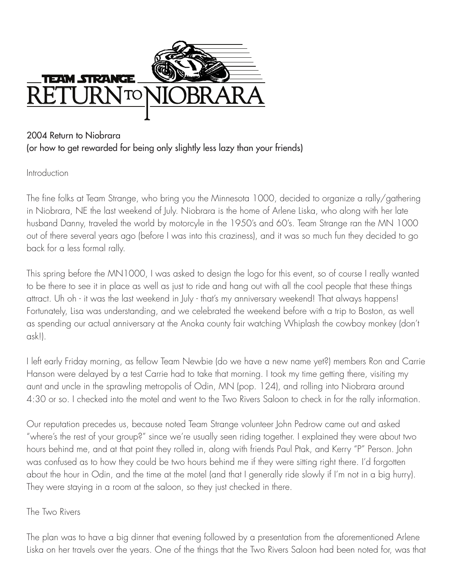

## 2004 Return to Niobrara (or how to get rewarded for being only slightly less lazy than your friends)

**Introduction** 

The fine folks at Team Strange, who bring you the Minnesota 1000, decided to organize a rally/gathering in Niobrara, NE the last weekend of July. Niobrara is the home of Arlene Liska, who along with her late husband Danny, traveled the world by motorcyle in the 1950's and 60's. Team Strange ran the MN 1000 out of there several years ago (before I was into this craziness), and it was so much fun they decided to go back for a less formal rally.

This spring before the MN1000, I was asked to design the logo for this event, so of course I really wanted to be there to see it in place as well as just to ride and hang out with all the cool people that these things attract. Uh oh - it was the last weekend in July - that's my anniversary weekend! That always happens! Fortunately, Lisa was understanding, and we celebrated the weekend before with a trip to Boston, as well as spending our actual anniversary at the Anoka county fair watching Whiplash the cowboy monkey (don't ask!).

I left early Friday morning, as fellow Team Newbie (do we have a new name yet?) members Ron and Carrie Hanson were delayed by a test Carrie had to take that morning. I took my time getting there, visiting my aunt and uncle in the sprawling metropolis of Odin, MN (pop. 124), and rolling into Niobrara around 4:30 or so. I checked into the motel and went to the Two Rivers Saloon to check in for the rally information.

Our reputation precedes us, because noted Team Strange volunteer John Pedrow came out and asked "where's the rest of your group?" since we're usually seen riding together. I explained they were about two hours behind me, and at that point they rolled in, along with friends Paul Ptak, and Kerry "P" Person. John was confused as to how they could be two hours behind me if they were sitting right there. I'd forgotten about the hour in Odin, and the time at the motel (and that I generally ride slowly if I'm not in a big hurry). They were staying in a room at the saloon, so they just checked in there.

## The Two Rivers

The plan was to have a big dinner that evening followed by a presentation from the aforementioned Arlene Liska on her travels over the years. One of the things that the Two Rivers Saloon had been noted for, was that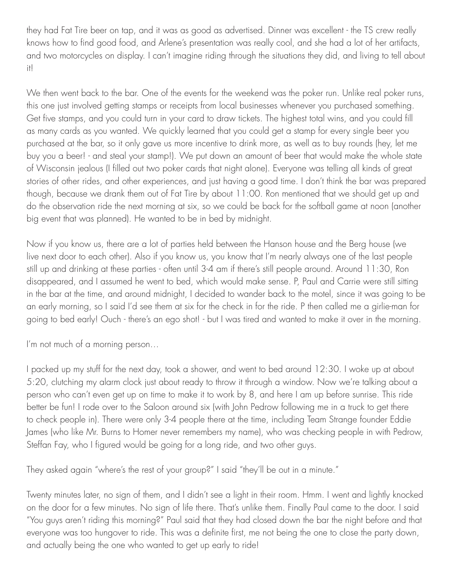they had Fat Tire beer on tap, and it was as good as advertised. Dinner was excellent - the TS crew really knows how to find good food, and Arlene's presentation was really cool, and she had a lot of her artifacts, and two motorcycles on display. I can't imagine riding through the situations they did, and living to tell about it!

We then went back to the bar. One of the events for the weekend was the poker run. Unlike real poker runs, this one just involved getting stamps or receipts from local businesses whenever you purchased something. Get five stamps, and you could turn in your card to draw tickets. The highest total wins, and you could fill as many cards as you wanted. We quickly learned that you could get a stamp for every single beer you purchased at the bar, so it only gave us more incentive to drink more, as well as to buy rounds (hey, let me buy you a beer! - and steal your stamp!). We put down an amount of beer that would make the whole state of Wisconsin jealous (I filled out two poker cards that night alone). Everyone was telling all kinds of great stories of other rides, and other experiences, and just having a good time. I don't think the bar was prepared though, because we drank them out of Fat Tire by about 11:00. Ron mentioned that we should get up and do the observation ride the next morning at six, so we could be back for the softball game at noon (another big event that was planned). He wanted to be in bed by midnight.

Now if you know us, there are a lot of parties held between the Hanson house and the Berg house (we live next door to each other). Also if you know us, you know that I'm nearly always one of the last people still up and drinking at these parties - often until 3-4 am if there's still people around. Around 11:30, Ron disappeared, and I assumed he went to bed, which would make sense. P, Paul and Carrie were still sitting in the bar at the time, and around midnight, I decided to wander back to the motel, since it was going to be an early morning, so I said I'd see them at six for the check in for the ride. P then called me a girlie-man for going to bed early! Ouch - there's an ego shot! - but I was tired and wanted to make it over in the morning.

I'm not much of a morning person…

I packed up my stuff for the next day, took a shower, and went to bed around 12:30. I woke up at about 5:20, clutching my alarm clock just about ready to throw it through a window. Now we're talking about a person who can't even get up on time to make it to work by 8, and here I am up before sunrise. This ride better be fun! I rode over to the Saloon around six (with John Pedrow following me in a truck to get there to check people in). There were only 3-4 people there at the time, including Team Strange founder Eddie James (who like Mr. Burns to Homer never remembers my name), who was checking people in with Pedrow, Steffan Fay, who I figured would be going for a long ride, and two other guys.

They asked again "where's the rest of your group?" I said "they'll be out in a minute."

Twenty minutes later, no sign of them, and I didn't see a light in their room. Hmm. I went and lightly knocked on the door for a few minutes. No sign of life there. That's unlike them. Finally Paul came to the door. I said "You guys aren't riding this morning?" Paul said that they had closed down the bar the night before and that everyone was too hungover to ride. This was a definite first, me not being the one to close the party down, and actually being the one who wanted to get up early to ride!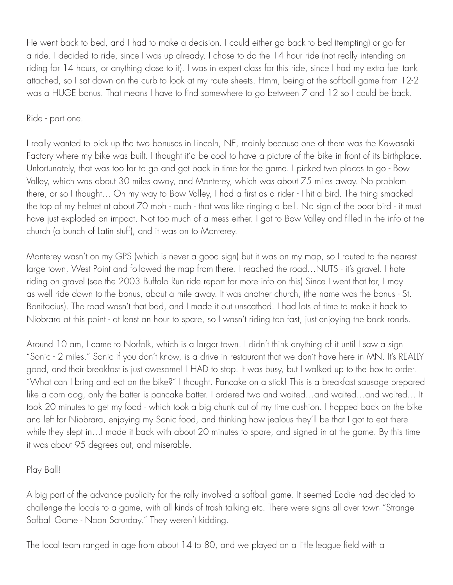He went back to bed, and I had to make a decision. I could either go back to bed (tempting) or go for a ride. I decided to ride, since I was up already. I chose to do the 14 hour ride (not really intending on riding for 14 hours, or anything close to it). I was in expert class for this ride, since I had my extra fuel tank attached, so I sat down on the curb to look at my route sheets. Hmm, being at the softball game from 12-2 was a HUGE bonus. That means I have to find somewhere to go between 7 and 12 so I could be back.

Ride - part one.

I really wanted to pick up the two bonuses in Lincoln, NE, mainly because one of them was the Kawasaki Factory where my bike was built. I thought it'd be cool to have a picture of the bike in front of its birthplace. Unfortunately, that was too far to go and get back in time for the game. I picked two places to go - Bow Valley, which was about 30 miles away, and Monterey, which was about 75 miles away. No problem there, or so I thought… On my way to Bow Valley, I had a first as a rider - I hit a bird. The thing smacked the top of my helmet at about 70 mph - ouch - that was like ringing a bell. No sign of the poor bird - it must have just exploded on impact. Not too much of a mess either. I got to Bow Valley and filled in the info at the church (a bunch of Latin stuff), and it was on to Monterey.

Monterey wasn't on my GPS (which is never a good sign) but it was on my map, so I routed to the nearest large town, West Point and followed the map from there. I reached the road…NUTS - it's gravel. I hate riding on gravel (see the 2003 Buffalo Run ride report for more info on this) Since I went that far, I may as well ride down to the bonus, about a mile away. It was another church, (the name was the bonus - St. Bonifacius). The road wasn't that bad, and I made it out unscathed. I had lots of time to make it back to Niobrara at this point - at least an hour to spare, so I wasn't riding too fast, just enjoying the back roads.

Around 10 am, I came to Norfolk, which is a larger town. I didn't think anything of it until I saw a sign "Sonic - 2 miles." Sonic if you don't know, is a drive in restaurant that we don't have here in MN. It's REALLY good, and their breakfast is just awesome! I HAD to stop. It was busy, but I walked up to the box to order. "What can I bring and eat on the bike?" I thought. Pancake on a stick! This is a breakfast sausage prepared like a corn dog, only the batter is pancake batter. I ordered two and waited…and waited…and waited… It took 20 minutes to get my food - which took a big chunk out of my time cushion. I hopped back on the bike and left for Niobrara, enjoying my Sonic food, and thinking how jealous they'll be that I got to eat there while they slept in…I made it back with about 20 minutes to spare, and signed in at the game. By this time it was about 95 degrees out, and miserable.

Play Ball!

A big part of the advance publicity for the rally involved a softball game. It seemed Eddie had decided to challenge the locals to a game, with all kinds of trash talking etc. There were signs all over town "Strange Sofball Game - Noon Saturday." They weren't kidding.

The local team ranged in age from about 14 to 80, and we played on a little league field with a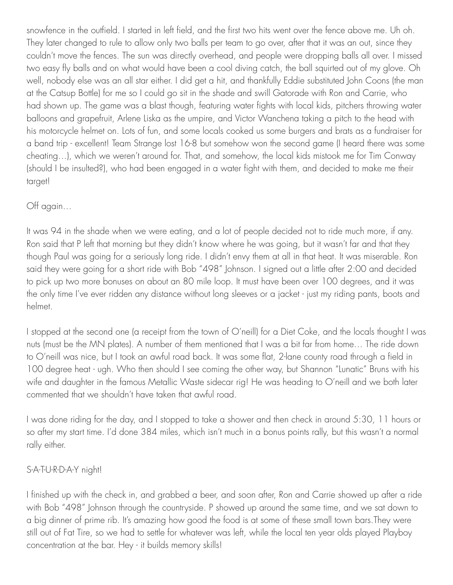snowfence in the outfield. I started in left field, and the first two hits went over the fence above me. Uh oh. They later changed to rule to allow only two balls per team to go over, after that it was an out, since they couldn't move the fences. The sun was directly overhead, and people were dropping balls all over. I missed two easy fly balls and on what would have been a cool diving catch, the ball squirted out of my glove. Oh well, nobody else was an all star either. I did get a hit, and thankfully Eddie substituted John Coons (the man at the Catsup Bottle) for me so I could go sit in the shade and swill Gatorade with Ron and Carrie, who had shown up. The game was a blast though, featuring water fights with local kids, pitchers throwing water balloons and grapefruit, Arlene Liska as the umpire, and Victor Wanchena taking a pitch to the head with his motorcycle helmet on. Lots of fun, and some locals cooked us some burgers and brats as a fundraiser for a band trip - excellent! Team Strange lost 16-8 but somehow won the second game (I heard there was some cheating…), which we weren't around for. That, and somehow, the local kids mistook me for Tim Conway (should I be insulted?), who had been engaged in a water fight with them, and decided to make me their target!

## Off again…

It was 94 in the shade when we were eating, and a lot of people decided not to ride much more, if any. Ron said that P left that morning but they didn't know where he was going, but it wasn't far and that they though Paul was going for a seriously long ride. I didn't envy them at all in that heat. It was miserable. Ron said they were going for a short ride with Bob "498" Johnson. I signed out a little after 2:00 and decided to pick up two more bonuses on about an 80 mile loop. It must have been over 100 degrees, and it was the only time I've ever ridden any distance without long sleeves or a jacket - just my riding pants, boots and helmet.

I stopped at the second one (a receipt from the town of O'neill) for a Diet Coke, and the locals thought I was nuts (must be the MN plates). A number of them mentioned that I was a bit far from home… The ride down to O'neill was nice, but I took an awful road back. It was some flat, 2-lane county road through a field in 100 degree heat - ugh. Who then should I see coming the other way, but Shannon "Lunatic" Bruns with his wife and daughter in the famous Metallic Waste sidecar rig! He was heading to O'neill and we both later commented that we shouldn't have taken that awful road.

I was done riding for the day, and I stopped to take a shower and then check in around 5:30, 11 hours or so after my start time. I'd done 384 miles, which isn't much in a bonus points rally, but this wasn't a normal rally either.

## S-A-T-U-R-D-A-Y night!

I finished up with the check in, and grabbed a beer, and soon after, Ron and Carrie showed up after a ride with Bob "498" Johnson through the countryside. P showed up around the same time, and we sat down to a big dinner of prime rib. It's amazing how good the food is at some of these small town bars.They were still out of Fat Tire, so we had to settle for whatever was left, while the local ten year olds played Playboy concentration at the bar. Hey - it builds memory skills!